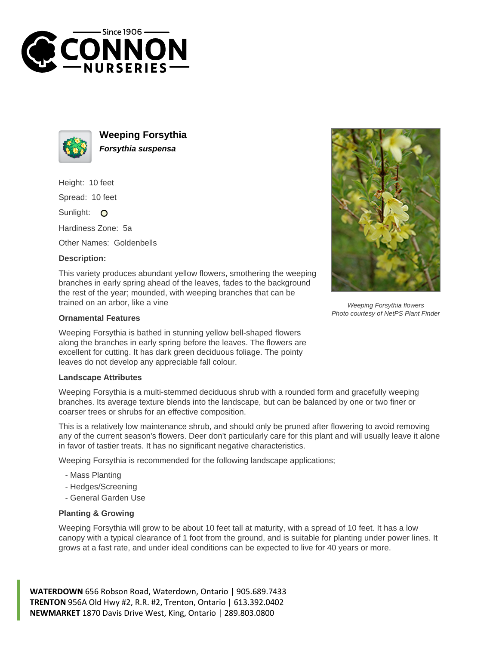



**Weeping Forsythia Forsythia suspensa**

Height: 10 feet

Spread: 10 feet

Sunlight: O

Hardiness Zone: 5a

Other Names: Goldenbells

## **Description:**

This variety produces abundant yellow flowers, smothering the weeping branches in early spring ahead of the leaves, fades to the background the rest of the year; mounded, with weeping branches that can be trained on an arbor, like a vine

## **Ornamental Features**

Weeping Forsythia is bathed in stunning yellow bell-shaped flowers along the branches in early spring before the leaves. The flowers are excellent for cutting. It has dark green deciduous foliage. The pointy leaves do not develop any appreciable fall colour.

## **Landscape Attributes**

Weeping Forsythia is a multi-stemmed deciduous shrub with a rounded form and gracefully weeping branches. Its average texture blends into the landscape, but can be balanced by one or two finer or coarser trees or shrubs for an effective composition.

This is a relatively low maintenance shrub, and should only be pruned after flowering to avoid removing any of the current season's flowers. Deer don't particularly care for this plant and will usually leave it alone in favor of tastier treats. It has no significant negative characteristics.

Weeping Forsythia is recommended for the following landscape applications;

- Mass Planting
- Hedges/Screening
- General Garden Use

## **Planting & Growing**

Weeping Forsythia will grow to be about 10 feet tall at maturity, with a spread of 10 feet. It has a low canopy with a typical clearance of 1 foot from the ground, and is suitable for planting under power lines. It grows at a fast rate, and under ideal conditions can be expected to live for 40 years or more.

**WATERDOWN** 656 Robson Road, Waterdown, Ontario | 905.689.7433 **TRENTON** 956A Old Hwy #2, R.R. #2, Trenton, Ontario | 613.392.0402 **NEWMARKET** 1870 Davis Drive West, King, Ontario | 289.803.0800



Weeping Forsythia flowers Photo courtesy of NetPS Plant Finder